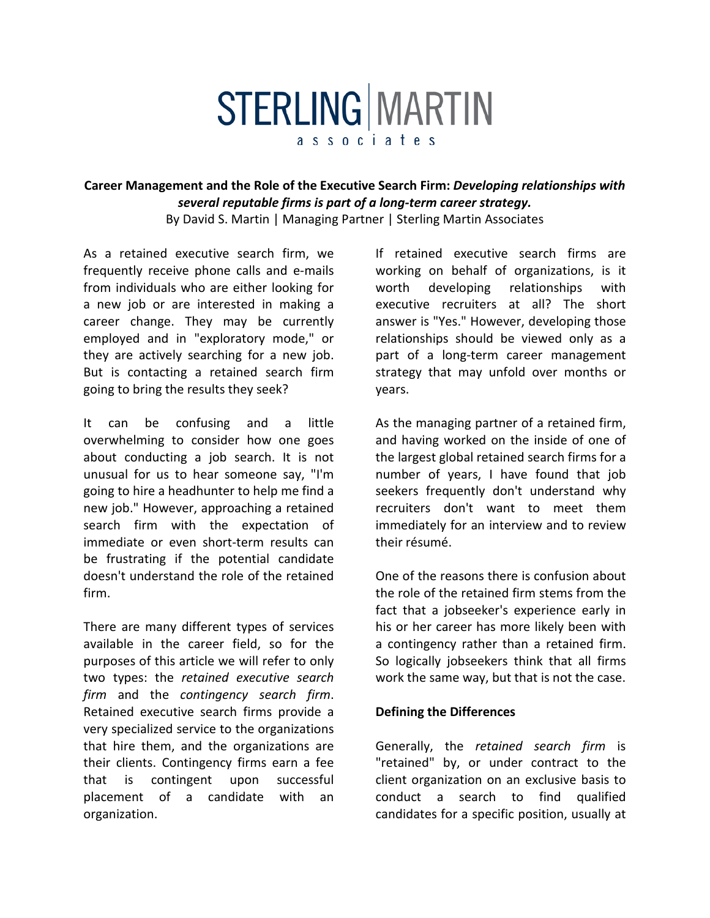## **STERLING MARTIN**

associates

## **Career Management and the Role of the Executive Search Firm:** *Developing relationships with several reputable firms is part of a long-term career strategy.*

By David S. Martin | Managing Partner | Sterling Martin Associates

As a retained executive search firm, we frequently receive phone calls and e-mails from individuals who are either looking for a new job or are interested in making a career change. They may be currently employed and in "exploratory mode," or they are actively searching for a new job. But is contacting a retained search firm going to bring the results they seek?

It can be confusing and a little overwhelming to consider how one goes about conducting a job search. It is not unusual for us to hear someone say, "I'm going to hire a headhunter to help me find a new job." However, approaching a retained search firm with the expectation of immediate or even short-term results can be frustrating if the potential candidate doesn't understand the role of the retained firm.

There are many different types of services available in the career field, so for the purposes of this article we will refer to only two types: the *retained executive search firm* and the *contingency search firm*. Retained executive search firms provide a very specialized service to the organizations that hire them, and the organizations are their clients. Contingency firms earn a fee that is contingent upon successful placement of a candidate with an organization.

If retained executive search firms are working on behalf of organizations, is it worth developing relationships with executive recruiters at all? The short answer is "Yes." However, developing those relationships should be viewed only as a part of a long-term career management strategy that may unfold over months or years.

As the managing partner of a retained firm, and having worked on the inside of one of the largest global retained search firms for a number of years, I have found that job seekers frequently don't understand why recruiters don't want to meet them immediately for an interview and to review their résumé.

One of the reasons there is confusion about the role of the retained firm stems from the fact that a jobseeker's experience early in his or her career has more likely been with a contingency rather than a retained firm. So logically jobseekers think that all firms work the same way, but that is not the case.

## **Defining the Differences**

Generally, the *retained search firm* is "retained" by, or under contract to the client organization on an exclusive basis to conduct a search to find qualified candidates for a specific position, usually at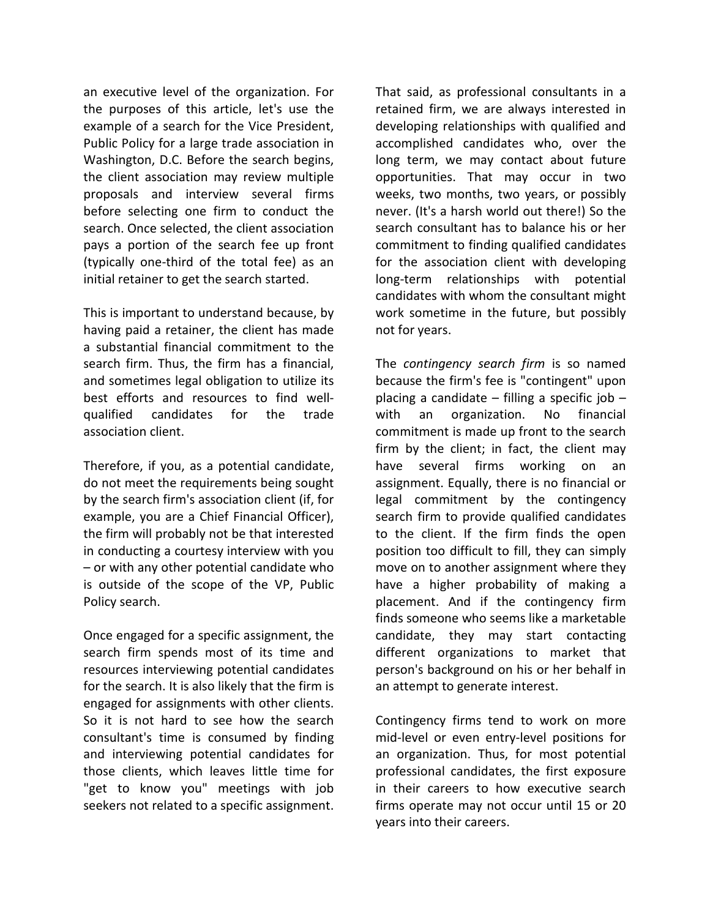an executive level of the organization. For the purposes of this article, let's use the example of a search for the Vice President, Public Policy for a large trade association in Washington, D.C. Before the search begins, the client association may review multiple proposals and interview several firms before selecting one firm to conduct the search. Once selected, the client association pays a portion of the search fee up front (typically one-third of the total fee) as an initial retainer to get the search started.

This is important to understand because, by having paid a retainer, the client has made a substantial financial commitment to the search firm. Thus, the firm has a financial, and sometimes legal obligation to utilize its best efforts and resources to find wellqualified candidates for the trade association client.

Therefore, if you, as a potential candidate, do not meet the requirements being sought by the search firm's association client (if, for example, you are a Chief Financial Officer), the firm will probably not be that interested in conducting a courtesy interview with you – or with any other potential candidate who is outside of the scope of the VP, Public Policy search.

Once engaged for a specific assignment, the search firm spends most of its time and resources interviewing potential candidates for the search. It is also likely that the firm is engaged for assignments with other clients. So it is not hard to see how the search consultant's time is consumed by finding and interviewing potential candidates for those clients, which leaves little time for "get to know you" meetings with job seekers not related to a specific assignment.

That said, as professional consultants in a retained firm, we are always interested in developing relationships with qualified and accomplished candidates who, over the long term, we may contact about future opportunities. That may occur in two weeks, two months, two years, or possibly never. (It's a harsh world out there!) So the search consultant has to balance his or her commitment to finding qualified candidates for the association client with developing long-term relationships with potential candidates with whom the consultant might work sometime in the future, but possibly not for years.

The *contingency search firm* is so named because the firm's fee is "contingent" upon placing a candidate – filling a specific job – with an organization. No financial commitment is made up front to the search firm by the client; in fact, the client may have several firms working on an assignment. Equally, there is no financial or legal commitment by the contingency search firm to provide qualified candidates to the client. If the firm finds the open position too difficult to fill, they can simply move on to another assignment where they have a higher probability of making a placement. And if the contingency firm finds someone who seems like a marketable candidate, they may start contacting different organizations to market that person's background on his or her behalf in an attempt to generate interest.

Contingency firms tend to work on more mid-level or even entry-level positions for an organization. Thus, for most potential professional candidates, the first exposure in their careers to how executive search firms operate may not occur until 15 or 20 years into their careers.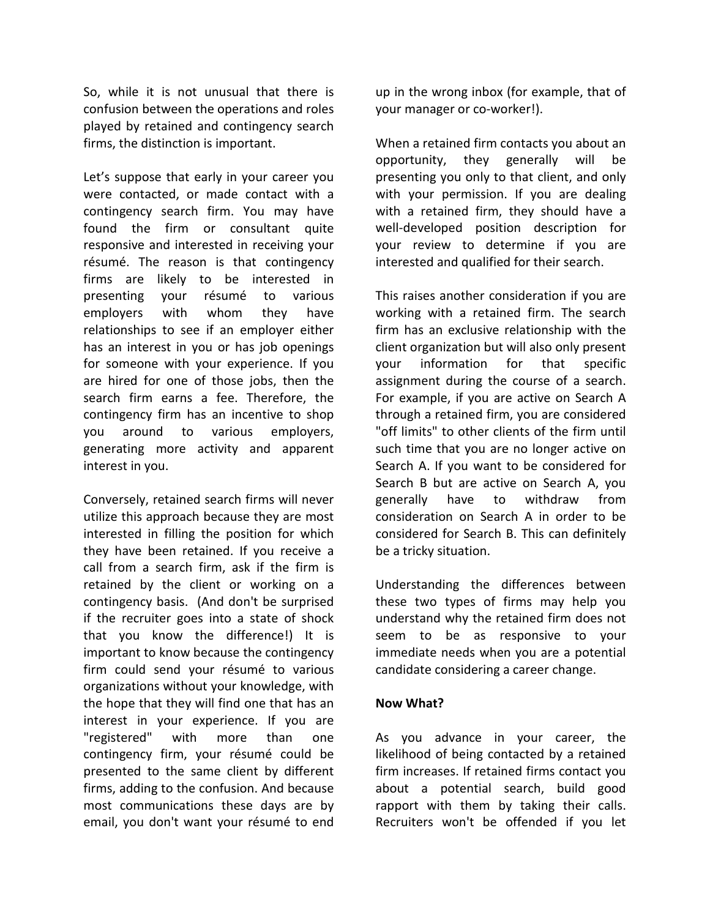So, while it is not unusual that there is confusion between the operations and roles played by retained and contingency search firms, the distinction is important.

Let's suppose that early in your career you were contacted, or made contact with a contingency search firm. You may have found the firm or consultant quite responsive and interested in receiving your résumé. The reason is that contingency firms are likely to be interested in presenting your résumé to various employers with whom they have relationships to see if an employer either has an interest in you or has job openings for someone with your experience. If you are hired for one of those jobs, then the search firm earns a fee. Therefore, the contingency firm has an incentive to shop you around to various employers, generating more activity and apparent interest in you.

Conversely, retained search firms will never utilize this approach because they are most interested in filling the position for which they have been retained. If you receive a call from a search firm, ask if the firm is retained by the client or working on a contingency basis. (And don't be surprised if the recruiter goes into a state of shock that you know the difference!) It is important to know because the contingency firm could send your résumé to various organizations without your knowledge, with the hope that they will find one that has an interest in your experience. If you are "registered" with more than one contingency firm, your résumé could be presented to the same client by different firms, adding to the confusion. And because most communications these days are by email, you don't want your résumé to end up in the wrong inbox (for example, that of your manager or co-worker!).

When a retained firm contacts you about an opportunity, they generally will be presenting you only to that client, and only with your permission. If you are dealing with a retained firm, they should have a well-developed [position description](http://www.smartinsearch.com/careers) for your review to determine if you are interested and qualified for their search.

This raises another consideration if you are working with a retained firm. The search firm has an exclusive relationship with the client organization but will also only present your information for that specific assignment during the course of a search. For example, if you are active on Search A through a retained firm, you are considered "off limits" to other clients of the firm until such time that you are no longer active on Search A. If you want to be considered for Search B but are active on Search A, you generally have to withdraw from consideration on Search A in order to be considered for Search B. This can definitely be a tricky situation.

Understanding the differences between these two types of firms may help you understand why the retained firm does not seem to be as responsive to your immediate needs when you are a potential candidate considering a career change.

## **Now What?**

As you advance in your career, the likelihood of being contacted by a retained firm increases. If retained firms contact you about a potential search, build good rapport with them by taking their calls. Recruiters won't be offended if you let